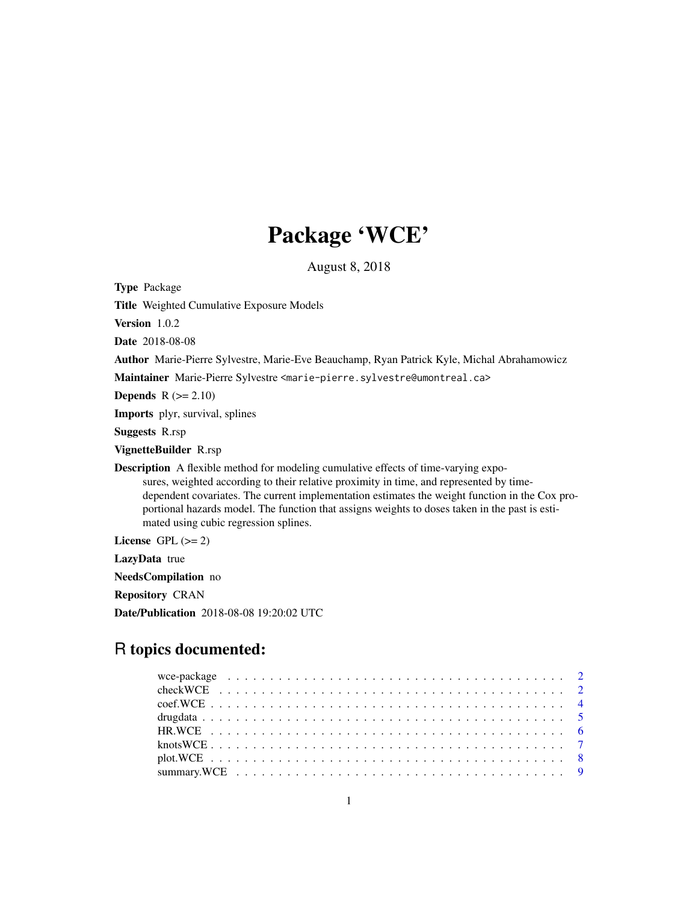## Package 'WCE'

August 8, 2018

<span id="page-0-0"></span>Type Package

Title Weighted Cumulative Exposure Models

Version 1.0.2

Date 2018-08-08

Author Marie-Pierre Sylvestre, Marie-Eve Beauchamp, Ryan Patrick Kyle, Michal Abrahamowicz

Maintainer Marie-Pierre Sylvestre <marie-pierre.sylvestre@umontreal.ca>

**Depends**  $R$  ( $>= 2.10$ )

Imports plyr, survival, splines

Suggests R.rsp

VignetteBuilder R.rsp

Description A flexible method for modeling cumulative effects of time-varying exposures, weighted according to their relative proximity in time, and represented by timedependent covariates. The current implementation estimates the weight function in the Cox proportional hazards model. The function that assigns weights to doses taken in the past is estimated using cubic regression splines.

License GPL  $(>= 2)$ 

LazyData true

NeedsCompilation no

Repository CRAN

Date/Publication 2018-08-08 19:20:02 UTC

### R topics documented: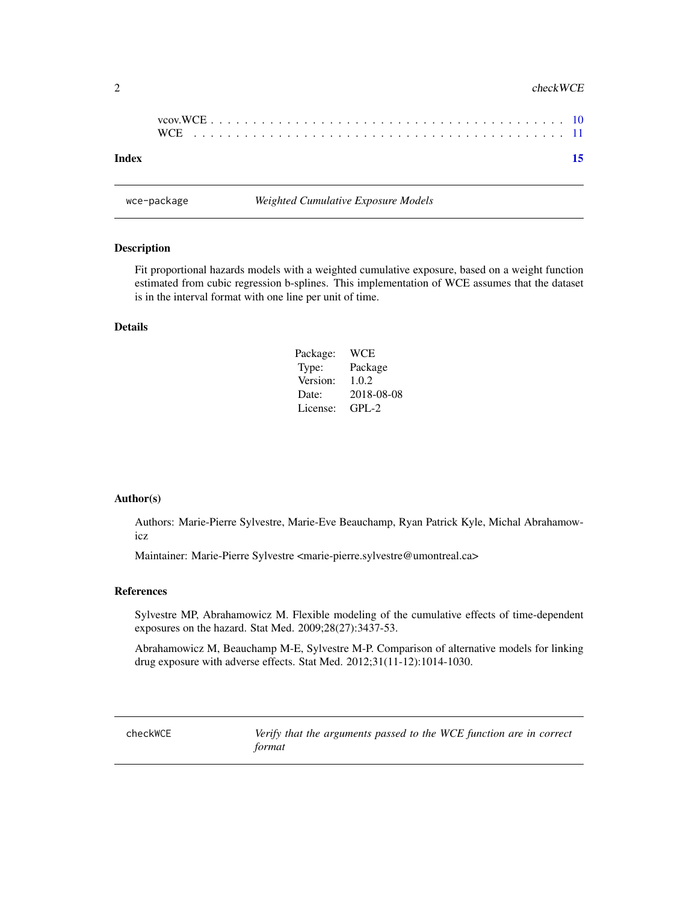#### <span id="page-1-0"></span>2 checkWCE

| Index |  |  |  |  |  |  |  |  |  |  |  |  |  |  |  |  |  | 15 |
|-------|--|--|--|--|--|--|--|--|--|--|--|--|--|--|--|--|--|----|

wce-package *Weighted Cumulative Exposure Models*

#### Description

Fit proportional hazards models with a weighted cumulative exposure, based on a weight function estimated from cubic regression b-splines. This implementation of WCE assumes that the dataset is in the interval format with one line per unit of time.

#### Details

| Package: | WCE        |
|----------|------------|
| Type:    | Package    |
| Version: | 1.0.2      |
| Date:    | 2018-08-08 |
| License: | $GPI - 2$  |

#### Author(s)

Authors: Marie-Pierre Sylvestre, Marie-Eve Beauchamp, Ryan Patrick Kyle, Michal Abrahamowicz

Maintainer: Marie-Pierre Sylvestre <marie-pierre.sylvestre@umontreal.ca>

#### References

Sylvestre MP, Abrahamowicz M. Flexible modeling of the cumulative effects of time-dependent exposures on the hazard. Stat Med. 2009;28(27):3437-53.

Abrahamowicz M, Beauchamp M-E, Sylvestre M-P. Comparison of alternative models for linking drug exposure with adverse effects. Stat Med. 2012;31(11-12):1014-1030.

<span id="page-1-1"></span>checkWCE *Verify that the arguments passed to the WCE function are in correct format*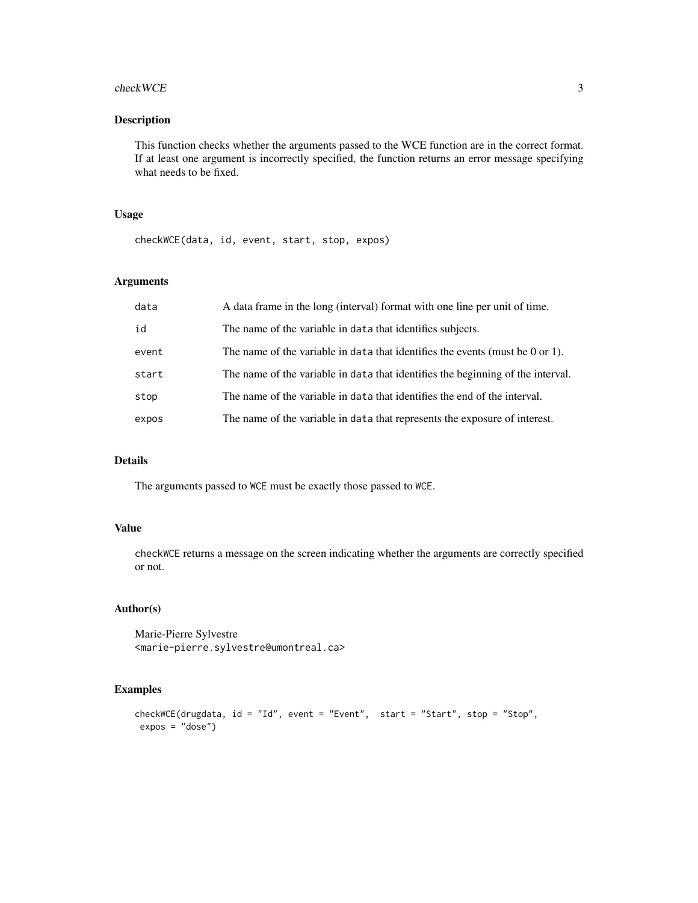#### checkWCE 3

#### Description

This function checks whether the arguments passed to the WCE function are in the correct format. If at least one argument is incorrectly specified, the function returns an error message specifying what needs to be fixed.

#### Usage

checkWCE(data, id, event, start, stop, expos)

#### Arguments

| data  | A data frame in the long (interval) format with one line per unit of time.      |
|-------|---------------------------------------------------------------------------------|
| id    | The name of the variable in data that identifies subjects.                      |
| event | The name of the variable in data that identifies the events (must be 0 or 1).   |
| start | The name of the variable in data that identifies the beginning of the interval. |
| stop  | The name of the variable in data that identifies the end of the interval.       |
| expos | The name of the variable in data that represents the exposure of interest.      |

#### Details

The arguments passed to WCE must be exactly those passed to WCE.

#### Value

checkWCE returns a message on the screen indicating whether the arguments are correctly specified or not.

#### Author(s)

Marie-Pierre Sylvestre <marie-pierre.sylvestre@umontreal.ca>

```
checkWCE(drugdata, id = "Id", event = "Event", start = "Start", stop = "Stop",
expos = "dose")
```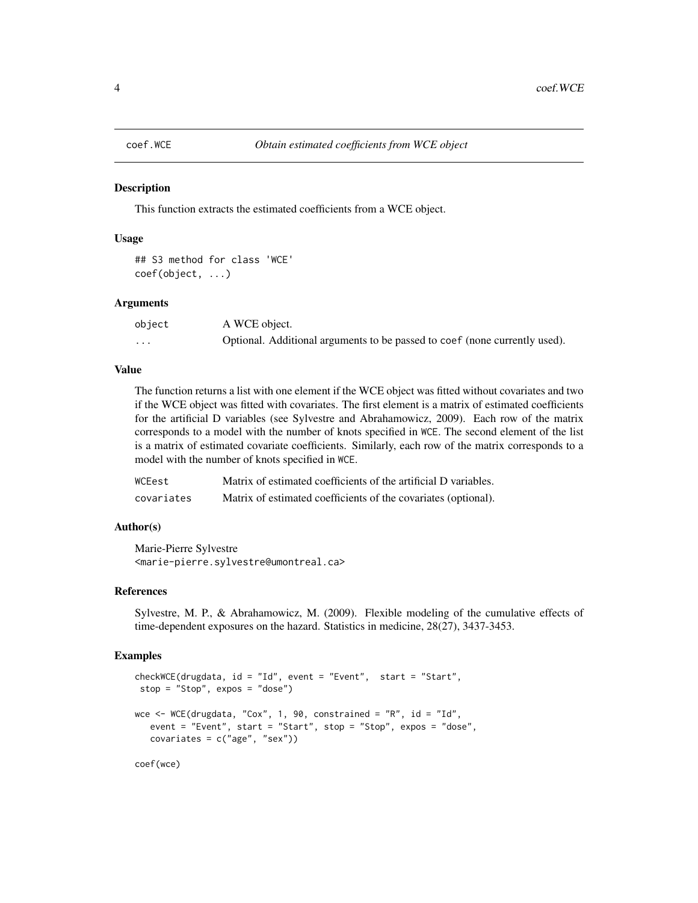<span id="page-3-0"></span>

This function extracts the estimated coefficients from a WCE object.

#### Usage

```
## S3 method for class 'WCE'
coef(object, ...)
```
#### **Arguments**

| object   | A WCE object.                                                              |
|----------|----------------------------------------------------------------------------|
| $\cdots$ | Optional. Additional arguments to be passed to coef (none currently used). |

#### Value

The function returns a list with one element if the WCE object was fitted without covariates and two if the WCE object was fitted with covariates. The first element is a matrix of estimated coefficients for the artificial D variables (see Sylvestre and Abrahamowicz, 2009). Each row of the matrix corresponds to a model with the number of knots specified in WCE. The second element of the list is a matrix of estimated covariate coefficients. Similarly, each row of the matrix corresponds to a model with the number of knots specified in WCE.

| WCEest     | Matrix of estimated coefficients of the artificial D variables. |
|------------|-----------------------------------------------------------------|
| covariates | Matrix of estimated coefficients of the covariates (optional).  |

#### Author(s)

Marie-Pierre Sylvestre <marie-pierre.sylvestre@umontreal.ca>

#### References

Sylvestre, M. P., & Abrahamowicz, M. (2009). Flexible modeling of the cumulative effects of time-dependent exposures on the hazard. Statistics in medicine, 28(27), 3437-3453.

```
checkWCE(drugdata, id = "Id", event = "Event", start = "Start",
stop = "Stop", expos = "dose")
wce \leq WCE(drugdata, "Cox", 1, 90, constrained = "R", id = "Id",
  event = "Event", start = "Start", stop = "Stop", expos = "dose",
  covariates = c("age", "sex"))
```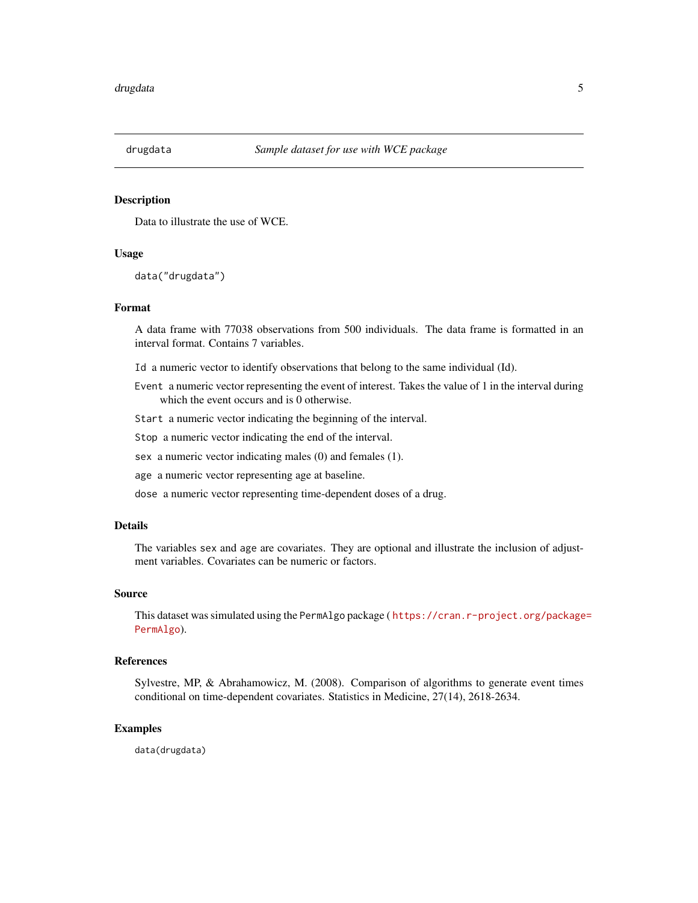<span id="page-4-0"></span>

Data to illustrate the use of WCE.

#### Usage

data("drugdata")

#### Format

A data frame with 77038 observations from 500 individuals. The data frame is formatted in an interval format. Contains 7 variables.

Id a numeric vector to identify observations that belong to the same individual (Id).

- Event a numeric vector representing the event of interest. Takes the value of 1 in the interval during which the event occurs and is 0 otherwise.
- Start a numeric vector indicating the beginning of the interval.

Stop a numeric vector indicating the end of the interval.

- sex a numeric vector indicating males (0) and females (1).
- age a numeric vector representing age at baseline.
- dose a numeric vector representing time-dependent doses of a drug.

#### Details

The variables sex and age are covariates. They are optional and illustrate the inclusion of adjustment variables. Covariates can be numeric or factors.

#### Source

This dataset was simulated using the PermAlgo package ( [https://cran.r-project.org/package](https://cran.r-project.org/package=PermAlgo)= [PermAlgo](https://cran.r-project.org/package=PermAlgo)).

#### References

Sylvestre, MP, & Abrahamowicz, M. (2008). Comparison of algorithms to generate event times conditional on time-dependent covariates. Statistics in Medicine, 27(14), 2618-2634.

#### Examples

data(drugdata)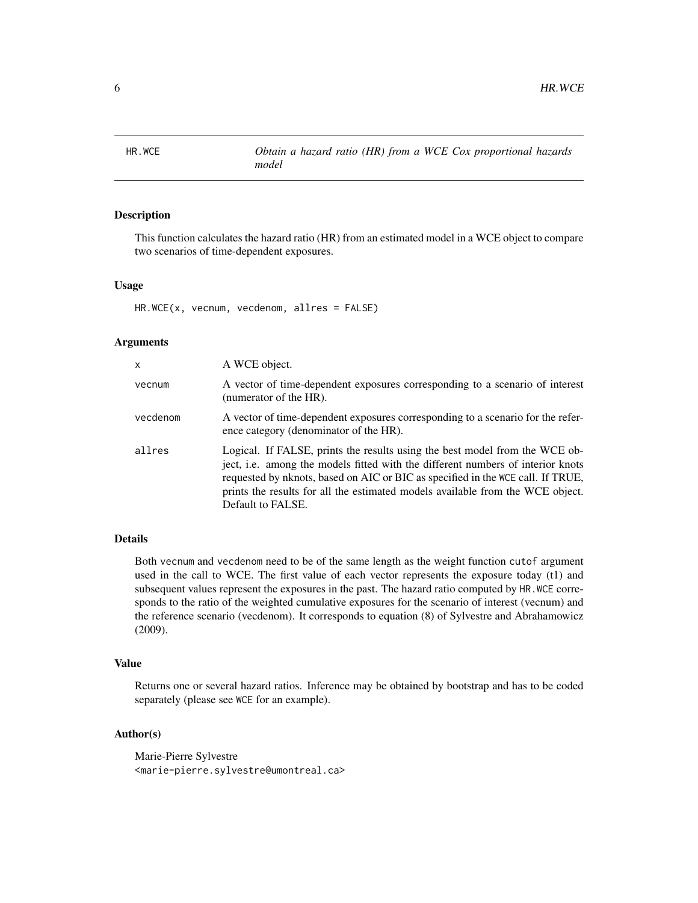<span id="page-5-0"></span>

This function calculates the hazard ratio (HR) from an estimated model in a WCE object to compare two scenarios of time-dependent exposures.

#### Usage

HR.WCE(x, vecnum, vecdenom, allres = FALSE)

#### Arguments

| x        | A WCE object.                                                                                                                                                                                                                                                                                                                                            |
|----------|----------------------------------------------------------------------------------------------------------------------------------------------------------------------------------------------------------------------------------------------------------------------------------------------------------------------------------------------------------|
| vecnum   | A vector of time-dependent exposures corresponding to a scenario of interest<br>(numerator of the HR).                                                                                                                                                                                                                                                   |
| vecdenom | A vector of time-dependent exposures corresponding to a scenario for the refer-<br>ence category (denominator of the HR).                                                                                                                                                                                                                                |
| allres   | Logical. If FALSE, prints the results using the best model from the WCE ob-<br>ject, i.e. among the models fitted with the different numbers of interior knots<br>requested by nknots, based on AIC or BIC as specified in the WCE call. If TRUE,<br>prints the results for all the estimated models available from the WCE object.<br>Default to FALSE. |

#### Details

Both vecnum and vecdenom need to be of the same length as the weight function cutof argument used in the call to WCE. The first value of each vector represents the exposure today (t1) and subsequent values represent the exposures in the past. The hazard ratio computed by HR.WCE corresponds to the ratio of the weighted cumulative exposures for the scenario of interest (vecnum) and the reference scenario (vecdenom). It corresponds to equation (8) of Sylvestre and Abrahamowicz (2009).

#### Value

Returns one or several hazard ratios. Inference may be obtained by bootstrap and has to be coded separately (please see WCE for an example).

#### Author(s)

Marie-Pierre Sylvestre <marie-pierre.sylvestre@umontreal.ca>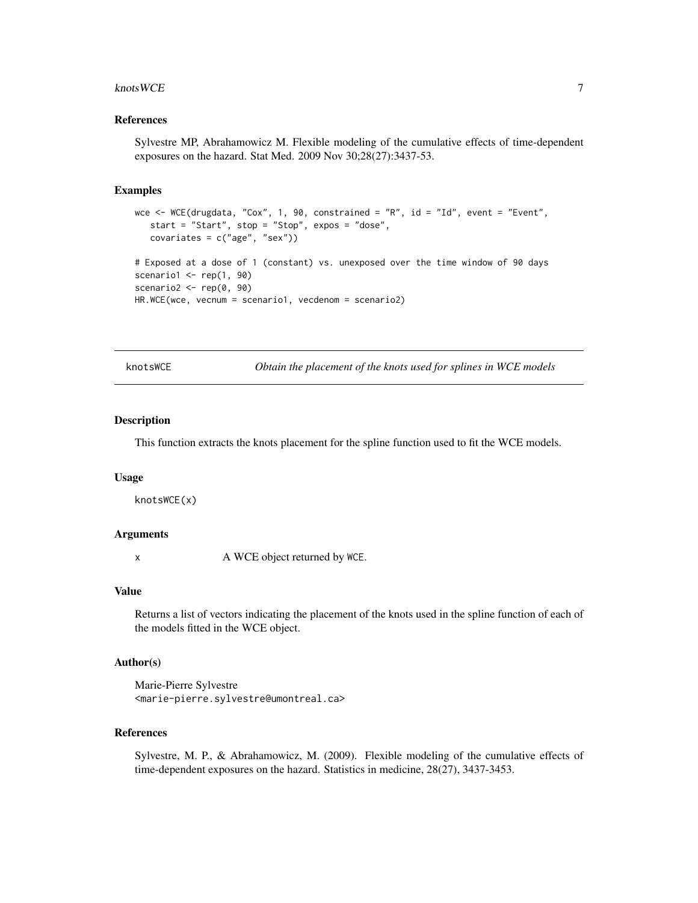#### <span id="page-6-0"></span>knots WCE  $\sim$  7

#### References

Sylvestre MP, Abrahamowicz M. Flexible modeling of the cumulative effects of time-dependent exposures on the hazard. Stat Med. 2009 Nov 30;28(27):3437-53.

#### Examples

```
wce <- WCE(drugdata, "Cox", 1, 90, constrained = "R", id = "Id", event = "Event",
   start = "Start", stop = "Stop", expos = "dose",
   covariates = c("age", "sex"))
# Exposed at a dose of 1 (constant) vs. unexposed over the time window of 90 days
scenario1 \leftarrow \text{rep}(1, 90)scenario2 \leq rep(0, 90)
HR.WCE(wce, vecnum = scenario1, vecdenom = scenario2)
```
knotsWCE *Obtain the placement of the knots used for splines in WCE models*

#### Description

This function extracts the knots placement for the spline function used to fit the WCE models.

#### Usage

knotsWCE(x)

#### Arguments

x A WCE object returned by WCE.

#### Value

Returns a list of vectors indicating the placement of the knots used in the spline function of each of the models fitted in the WCE object.

#### Author(s)

Marie-Pierre Sylvestre <marie-pierre.sylvestre@umontreal.ca>

#### References

Sylvestre, M. P., & Abrahamowicz, M. (2009). Flexible modeling of the cumulative effects of time-dependent exposures on the hazard. Statistics in medicine, 28(27), 3437-3453.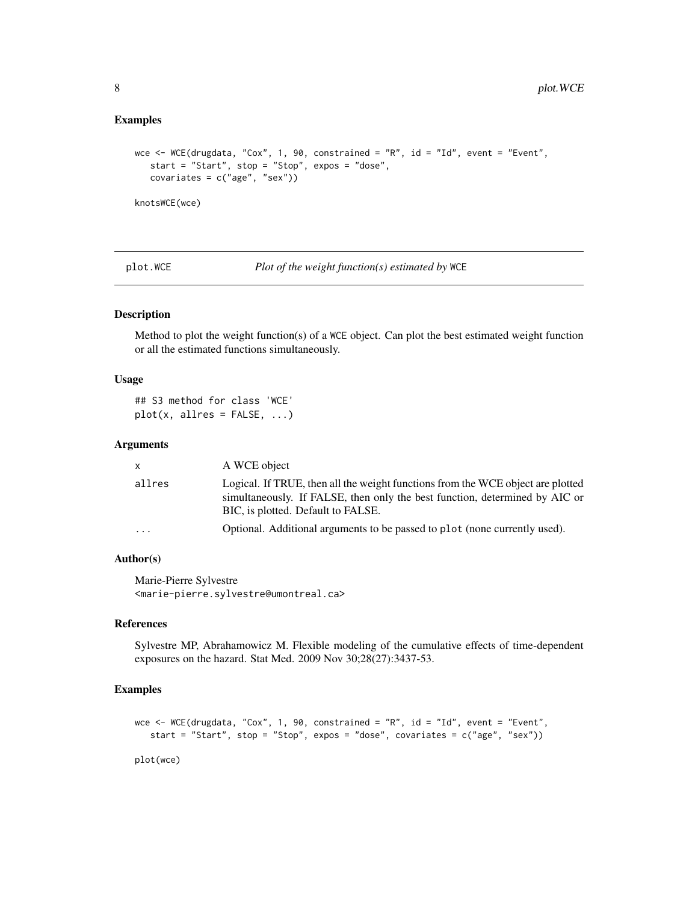#### <span id="page-7-0"></span>Examples

```
wce <- WCE(drugdata, "Cox", 1, 90, constrained = "R", id = "Id", event = "Event",
   start = "Start", stop = "Stop", expos = "dose",
   covariates = c("age", "sex"))
knotsWCE(wce)
```
plot.WCE *Plot of the weight function(s) estimated by* WCE

#### Description

Method to plot the weight function(s) of a WCE object. Can plot the best estimated weight function or all the estimated functions simultaneously.

#### Usage

```
## S3 method for class 'WCE'
plot(x, allres = FALSE, ...)
```
#### Arguments

| X.        | A WCE object                                                                                                                                                                                         |
|-----------|------------------------------------------------------------------------------------------------------------------------------------------------------------------------------------------------------|
| allres    | Logical. If TRUE, then all the weight functions from the WCE object are plotted<br>simultaneously. If FALSE, then only the best function, determined by AIC or<br>BIC, is plotted. Default to FALSE. |
| $\ddotsc$ | Optional. Additional arguments to be passed to plot (none currently used).                                                                                                                           |

#### Author(s)

Marie-Pierre Sylvestre <marie-pierre.sylvestre@umontreal.ca>

#### References

Sylvestre MP, Abrahamowicz M. Flexible modeling of the cumulative effects of time-dependent exposures on the hazard. Stat Med. 2009 Nov 30;28(27):3437-53.

#### Examples

```
wce <- WCE(drugdata, "Cox", 1, 90, constrained = "R", id = "Id", event = "Event",
   start = "Start", stop = "Stop", expos = "dose", covariates = c("age", "sex"))
```
plot(wce)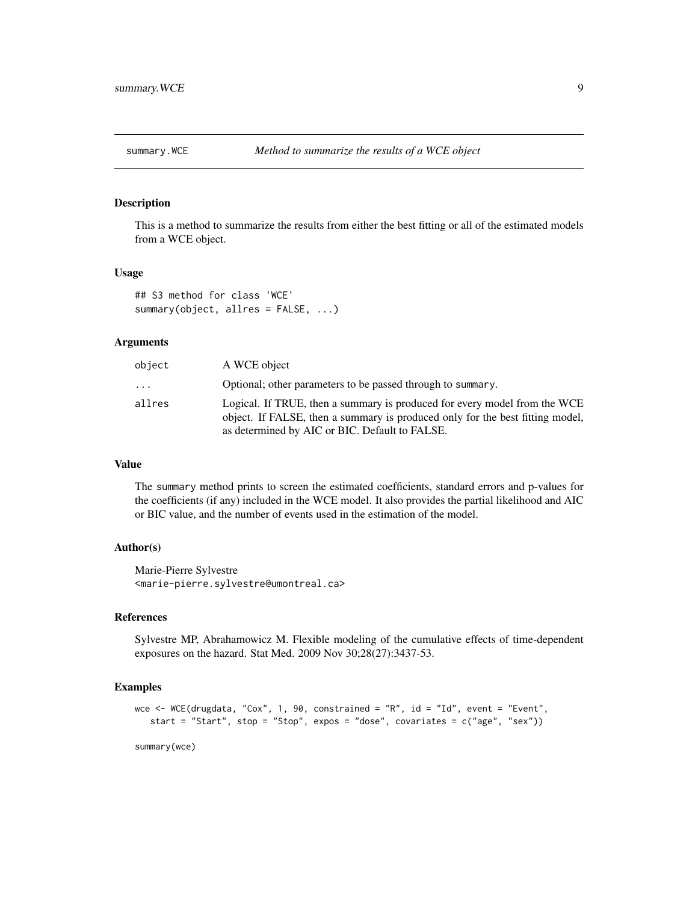<span id="page-8-0"></span>

This is a method to summarize the results from either the best fitting or all of the estimated models from a WCE object.

#### Usage

```
## S3 method for class 'WCE'
summary(object, allres = FALSE, ...)
```
#### Arguments

| object                  | A WCE object                                                                                                                                                                                                 |
|-------------------------|--------------------------------------------------------------------------------------------------------------------------------------------------------------------------------------------------------------|
| $\cdot$ $\cdot$ $\cdot$ | Optional; other parameters to be passed through to summary.                                                                                                                                                  |
| allres                  | Logical. If TRUE, then a summary is produced for every model from the WCE<br>object. If FALSE, then a summary is produced only for the best fitting model,<br>as determined by AIC or BIC. Default to FALSE. |

#### Value

The summary method prints to screen the estimated coefficients, standard errors and p-values for the coefficients (if any) included in the WCE model. It also provides the partial likelihood and AIC or BIC value, and the number of events used in the estimation of the model.

#### Author(s)

Marie-Pierre Sylvestre <marie-pierre.sylvestre@umontreal.ca>

#### References

Sylvestre MP, Abrahamowicz M. Flexible modeling of the cumulative effects of time-dependent exposures on the hazard. Stat Med. 2009 Nov 30;28(27):3437-53.

#### Examples

```
wce <- WCE(drugdata, "Cox", 1, 90, constrained = "R", id = "Id", event = "Event",
  start = "Start", stop = "Stop", expos = "dose", covariates = c("age", "sex"))
```
summary(wce)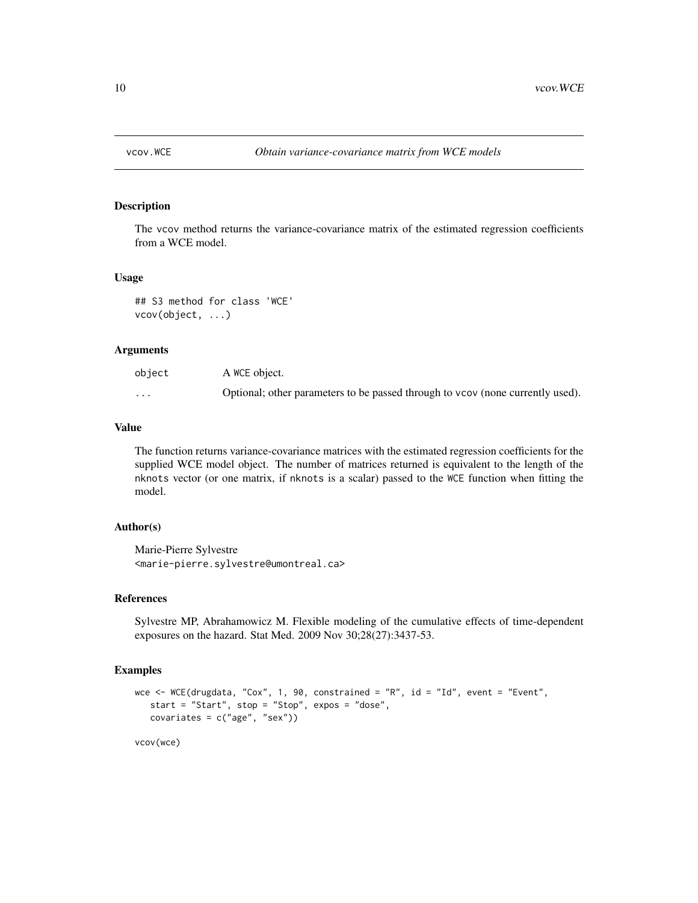<span id="page-9-0"></span>

The vcov method returns the variance-covariance matrix of the estimated regression coefficients from a WCE model.

#### Usage

## S3 method for class 'WCE' vcov(object, ...)

#### **Arguments**

| object | A WCE object.                                                                  |
|--------|--------------------------------------------------------------------------------|
| .      | Optional; other parameters to be passed through to vcov (none currently used). |

#### Value

The function returns variance-covariance matrices with the estimated regression coefficients for the supplied WCE model object. The number of matrices returned is equivalent to the length of the nknots vector (or one matrix, if nknots is a scalar) passed to the WCE function when fitting the model.

#### Author(s)

Marie-Pierre Sylvestre <marie-pierre.sylvestre@umontreal.ca>

#### References

Sylvestre MP, Abrahamowicz M. Flexible modeling of the cumulative effects of time-dependent exposures on the hazard. Stat Med. 2009 Nov 30;28(27):3437-53.

```
wce <- WCE(drugdata, "Cox", 1, 90, constrained = "R", id = "Id", event = "Event",
   start = "Start", stop = "Stop", expos = "dose",
  covariates = c("age", "sex")vcov(wce)
```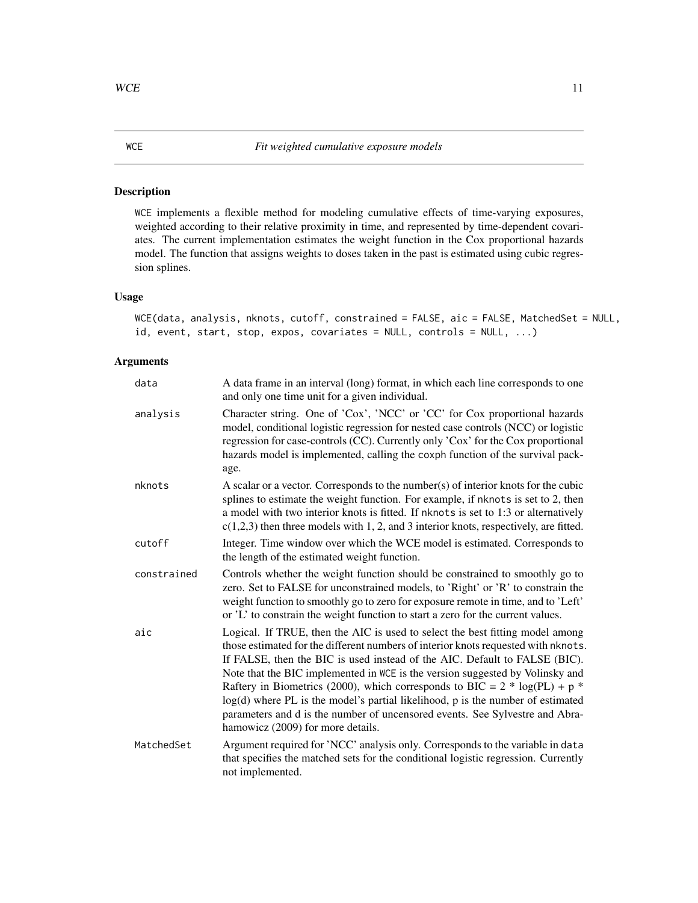<span id="page-10-0"></span>WCE implements a flexible method for modeling cumulative effects of time-varying exposures, weighted according to their relative proximity in time, and represented by time-dependent covariates. The current implementation estimates the weight function in the Cox proportional hazards model. The function that assigns weights to doses taken in the past is estimated using cubic regression splines.

#### Usage

WCE(data, analysis, nknots, cutoff, constrained = FALSE, aic = FALSE, MatchedSet = NULL, id, event, start, stop, expos, covariates = NULL, controls = NULL, ...)

#### Arguments

| data        | A data frame in an interval (long) format, in which each line corresponds to one<br>and only one time unit for a given individual.                                                                                                                                                                                                                                                                                                                                                                                                                                                                                         |
|-------------|----------------------------------------------------------------------------------------------------------------------------------------------------------------------------------------------------------------------------------------------------------------------------------------------------------------------------------------------------------------------------------------------------------------------------------------------------------------------------------------------------------------------------------------------------------------------------------------------------------------------------|
| analysis    | Character string. One of 'Cox', 'NCC' or 'CC' for Cox proportional hazards<br>model, conditional logistic regression for nested case controls (NCC) or logistic<br>regression for case-controls (CC). Currently only 'Cox' for the Cox proportional<br>hazards model is implemented, calling the coxph function of the survival pack-<br>age.                                                                                                                                                                                                                                                                              |
| nknots      | A scalar or a vector. Corresponds to the number(s) of interior knots for the cubic<br>splines to estimate the weight function. For example, if nknots is set to 2, then<br>a model with two interior knots is fitted. If nknots is set to 1:3 or alternatively<br>$c(1,2,3)$ then three models with 1, 2, and 3 interior knots, respectively, are fitted.                                                                                                                                                                                                                                                                  |
| cutoff      | Integer. Time window over which the WCE model is estimated. Corresponds to<br>the length of the estimated weight function.                                                                                                                                                                                                                                                                                                                                                                                                                                                                                                 |
| constrained | Controls whether the weight function should be constrained to smoothly go to<br>zero. Set to FALSE for unconstrained models, to 'Right' or 'R' to constrain the<br>weight function to smoothly go to zero for exposure remote in time, and to 'Left'<br>or 'L' to constrain the weight function to start a zero for the current values.                                                                                                                                                                                                                                                                                    |
| aic         | Logical. If TRUE, then the AIC is used to select the best fitting model among<br>those estimated for the different numbers of interior knots requested with nknots.<br>If FALSE, then the BIC is used instead of the AIC. Default to FALSE (BIC).<br>Note that the BIC implemented in WCE is the version suggested by Volinsky and<br>Raftery in Biometrics (2000), which corresponds to BIC = $2 * log(PL) + p *$<br>log(d) where PL is the model's partial likelihood, p is the number of estimated<br>parameters and d is the number of uncensored events. See Sylvestre and Abra-<br>hamowicz (2009) for more details. |
| MatchedSet  | Argument required for 'NCC' analysis only. Corresponds to the variable in data<br>that specifies the matched sets for the conditional logistic regression. Currently<br>not implemented.                                                                                                                                                                                                                                                                                                                                                                                                                                   |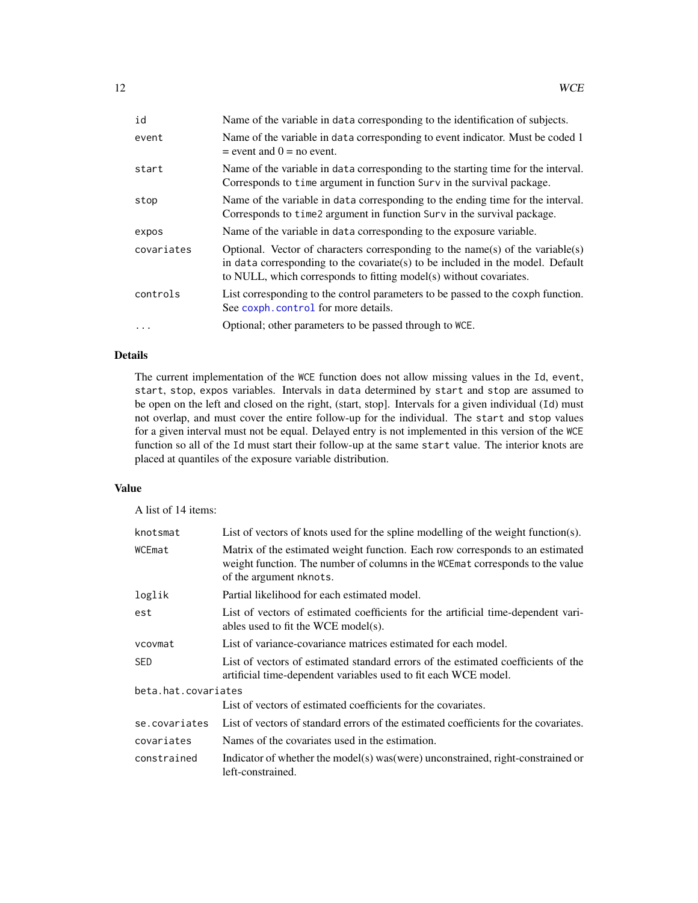<span id="page-11-0"></span>

| id         | Name of the variable in data corresponding to the identification of subjects.                                                                                                                                                          |
|------------|----------------------------------------------------------------------------------------------------------------------------------------------------------------------------------------------------------------------------------------|
| event      | Name of the variable in data corresponding to event indicator. Must be coded 1<br>$=$ event and $0 =$ no event.                                                                                                                        |
| start      | Name of the variable in data corresponding to the starting time for the interval.<br>Corresponds to time argument in function Surv in the survival package.                                                                            |
| stop       | Name of the variable in data corresponding to the ending time for the interval.<br>Corresponds to time 2 argument in function Surv in the survival package.                                                                            |
| expos      | Name of the variable in data corresponding to the exposure variable.                                                                                                                                                                   |
| covariates | Optional. Vector of characters corresponding to the name(s) of the variable(s)<br>in data corresponding to the covariate(s) to be included in the model. Default<br>to NULL, which corresponds to fitting model(s) without covariates. |
| controls   | List corresponding to the control parameters to be passed to the coxph function.<br>See coxph. control for more details.                                                                                                               |
|            | Optional; other parameters to be passed through to WCE.                                                                                                                                                                                |

#### Details

The current implementation of the WCE function does not allow missing values in the Id, event, start, stop, expos variables. Intervals in data determined by start and stop are assumed to be open on the left and closed on the right, (start, stop]. Intervals for a given individual (Id) must not overlap, and must cover the entire follow-up for the individual. The start and stop values for a given interval must not be equal. Delayed entry is not implemented in this version of the WCE function so all of the Id must start their follow-up at the same start value. The interior knots are placed at quantiles of the exposure variable distribution.

#### Value

A list of 14 items:

| knotsmat            | List of vectors of knots used for the spline modelling of the weight function(s).                                                                                                          |  |
|---------------------|--------------------------------------------------------------------------------------------------------------------------------------------------------------------------------------------|--|
| WCEmat              | Matrix of the estimated weight function. Each row corresponds to an estimated<br>weight function. The number of columns in the WCE mat corresponds to the value<br>of the argument nknots. |  |
| loglik              | Partial likelihood for each estimated model.                                                                                                                                               |  |
| est                 | List of vectors of estimated coefficients for the artificial time-dependent vari-<br>ables used to fit the WCE model(s).                                                                   |  |
| vcovmat             | List of variance-covariance matrices estimated for each model.                                                                                                                             |  |
| SED                 | List of vectors of estimated standard errors of the estimated coefficients of the<br>artificial time-dependent variables used to fit each WCE model.                                       |  |
| beta.hat.covariates |                                                                                                                                                                                            |  |
|                     | List of vectors of estimated coefficients for the covariates.                                                                                                                              |  |
| se.covariates       | List of vectors of standard errors of the estimated coefficients for the covariates.                                                                                                       |  |
| covariates          | Names of the covariates used in the estimation.                                                                                                                                            |  |
| constrained         | Indicator of whether the model(s) was (were) unconstrained, right-constrained or<br>left-constrained.                                                                                      |  |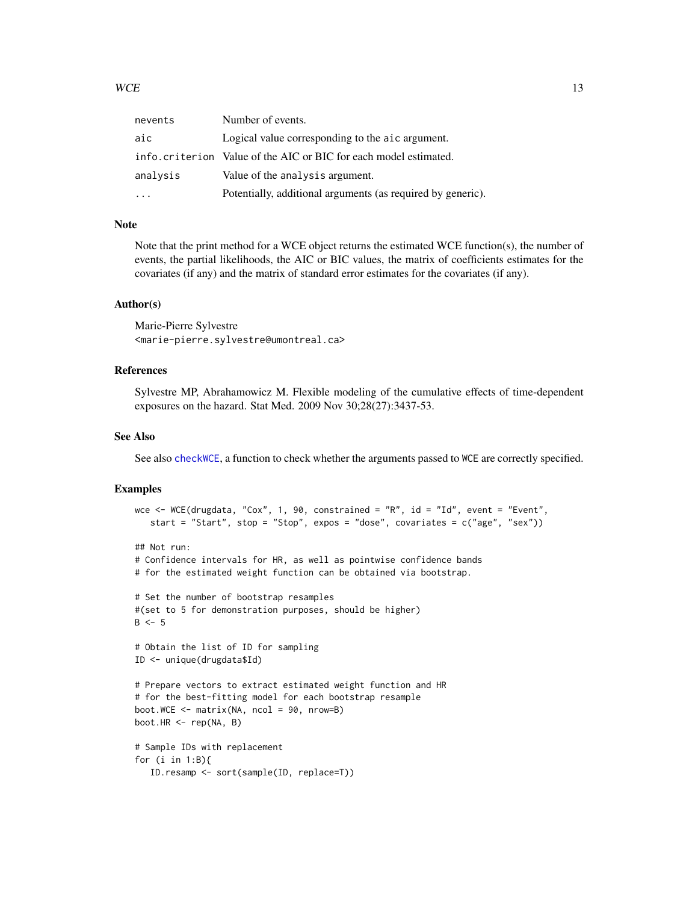<span id="page-12-0"></span>

| nevents  | Number of events.                                                 |
|----------|-------------------------------------------------------------------|
| aic      | Logical value corresponding to the aic argument.                  |
|          | info. criterion Value of the AIC or BIC for each model estimated. |
| analysis | Value of the analysis argument.                                   |
|          | Potentially, additional arguments (as required by generic).       |

#### Note

Note that the print method for a WCE object returns the estimated WCE function(s), the number of events, the partial likelihoods, the AIC or BIC values, the matrix of coefficients estimates for the covariates (if any) and the matrix of standard error estimates for the covariates (if any).

#### Author(s)

Marie-Pierre Sylvestre <marie-pierre.sylvestre@umontreal.ca>

#### References

Sylvestre MP, Abrahamowicz M. Flexible modeling of the cumulative effects of time-dependent exposures on the hazard. Stat Med. 2009 Nov 30;28(27):3437-53.

#### See Also

See also [checkWCE](#page-1-1), a function to check whether the arguments passed to WCE are correctly specified.

```
wce <- WCE(drugdata, "Cox", 1, 90, constrained = "R", id = "Id", event = "Event",
   start = "Start", stop = "Stop", expos = "dose", covariates = c("age", "sex"))
## Not run:
# Confidence intervals for HR, as well as pointwise confidence bands
# for the estimated weight function can be obtained via bootstrap.
# Set the number of bootstrap resamples
#(set to 5 for demonstration purposes, should be higher)
B \le -5# Obtain the list of ID for sampling
ID <- unique(drugdata$Id)
# Prepare vectors to extract estimated weight function and HR
# for the best-fitting model for each bootstrap resample
boot.WCE <- matrix(NA, ncol = 90, nrow=B)
boot.HR <- rep(NA, B)
# Sample IDs with replacement
for (i in 1:B){
   ID.resamp <- sort(sample(ID, replace=T))
```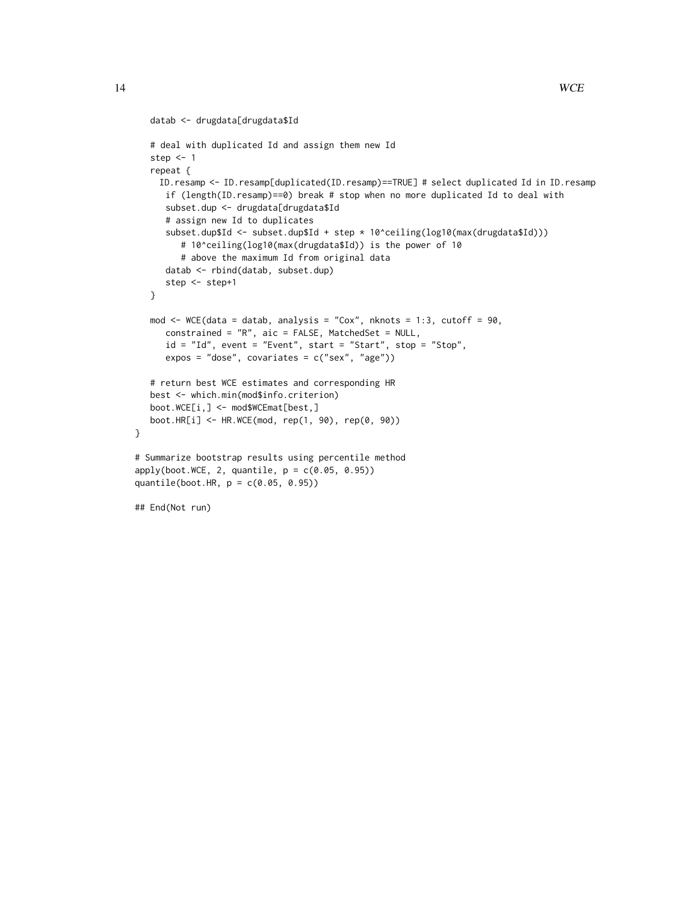```
datab <- drugdata[drugdata$Id
   # deal with duplicated Id and assign them new Id
  step <-1repeat {
    ID.resamp <- ID.resamp[duplicated(ID.resamp)==TRUE] # select duplicated Id in ID.resamp
     if (length(ID.resamp)==0) break # stop when no more duplicated Id to deal with
     subset.dup <- drugdata[drugdata$Id
     # assign new Id to duplicates
     subset.dup$Id <- subset.dup$Id + step * 10^ceiling(log10(max(drugdata$Id)))
         # 10^ceiling(log10(max(drugdata$Id)) is the power of 10
         # above the maximum Id from original data
     datab <- rbind(datab, subset.dup)
     step <- step+1
  }
  mod \leq WCE(data = datab, analysis = "Cox", nknots = 1:3, cutoff = 90,
     constrained = "R", aic = FALSE, MatchedSet = NULL,
     id = "Id", event = "Event", start = "Start", stop = "Stop",
     expos = "dose", covariates = c("sex", "age"))
  # return best WCE estimates and corresponding HR
  best <- which.min(mod$info.criterion)
  boot.WCE[i,] <- mod$WCEmat[best,]
  boot.HR[i] <- HR.WCE(mod, rep(1, 90), rep(0, 90))
}
# Summarize bootstrap results using percentile method
apply(boot.WCE, 2, quantile, p = c(0.05, 0.95))
quantile(boot.HR, p = c(0.05, 0.95))
## End(Not run)
```